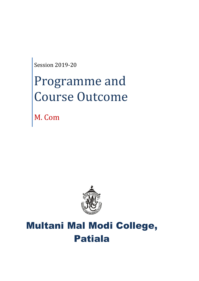Session 2019-20

# Programme and Course Outcome

M. Com



# Multani Mal Modi College, Patiala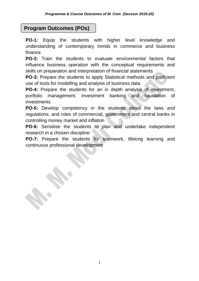# **Program Outcomes (POs)**

**PO-1:** Equip the students with higher level knowledge and understanding of contemporary trends in commerce and business finance

**PO-2:** Train the students to evaluate environmental factors that influence business operation with the conceptual requirements and skills on preparation and interpretation of financial statements

**PO-3:** Prepare the students to apply Statistical methods and proficient use of tools for modelling and analysis of business data

**PO-4:** Prepare the students for an in depth analysis of investment, portfolio management, investment banking and liquidation of investments

**PO-5:** Develop competency in the students about the laws and regulations, and roles of commercial, government and central banks in controlling money market and inflation

**PO-6:** Sensitise the students to plan and undertake independent research in a chosen discipline

**PO-7:** Prepare the students for teamwork, lifelong learning and continuous professional development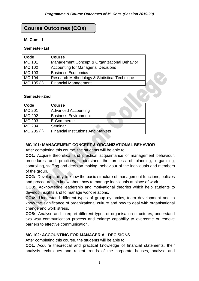# **Course Outcomes (COs)**

#### **M. Com - I**

#### **Semester-1st**

| Code          | <b>Course</b>                                |  |
|---------------|----------------------------------------------|--|
| MC 101        | Management Concept & Organizational Behavior |  |
| MC 102        | <b>Accounting for Managerial Decisions</b>   |  |
| MC 103        | <b>Business Economics</b>                    |  |
| <b>MC 104</b> | Research Methodology & Statistical Technique |  |
| MC 105 (ii)   | <b>Financial Management</b>                  |  |

#### **Semester-2nd**

| Code          | <b>Course</b>                             |
|---------------|-------------------------------------------|
| MC 201        | <b>Advanced Accounting</b>                |
| <b>MC 202</b> | <b>Business Environment</b>               |
| MC 203        | E-Commerce                                |
| MC 204        | Seminar                                   |
| MC 205 (ii)   | <b>Financial Institutions And Markets</b> |

#### **MC 101: MANAGEMENT CONCEPT & ORGANIZATIONAL BEHAVIOR**

After completing this course, the students will be able to:

**CO1:** Acquire theoretical and practical acquaintance of management behaviour, procedures and practices; understand the process of planning, organising, controlling, staffing and decision making, behaviour of the individuals and members of the group.

**CO2:** Develop ability to know the basic structure of management functions, policies and procedures, to know about how to manage individuals at place of work.

**CO3:** Acknowledge leadership and motivational theories which help students to develop insights and to manage work relations.

**CO4:** Understand different types of group dynamics, team development and to know the significance of organizational culture and how to deal with organisational change and work stress.

**CO5:** Analyse and Interpret different types of organisation structures, understand two way communication process and enlarge capability to overcome or remove barriers to effective communication.

# **MC 102: ACCOUNTING FOR MANAGERIAL DECISIONS**

After completing this course, the students will be able to:

**CO1:** Acquire theoretical and practical knowledge of financial statements, their analysis techniques and recent trends of the corporate houses, analyse and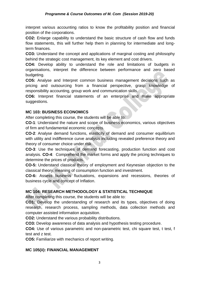interpret various accounting ratios to know the profitability position and financial position of the corporations.

**CO2:** Enlarge capability to understand the basic structure of cash flow and funds flow statements, this will further help them in planning for intermediate and longterm finances.

**CO3:** Understand the concept and applications of marginal costing and philosophy behind the strategic cost management, its key element and cost drivers.

**CO4:** Develop ability to understand the role and limitations of budgets in organisations, interpret the difference between performance and zero based budgeting.

**CO5:** Analyse and Interpret common business management decisions such as pricing and outsourcing from a financial perspective, grasp knowledge of responsibility accounting, group work and communication skills.

**CO6:** Interpret financial statements of an enterprise and make appropriate suggestions.

#### **MC 103: BUSINESS ECONOMICS**

After completing this course, the students will be able to:

**CO-1**: Understand the nature and scope of business economics, various objectives of firm and fundamental economic concepts.

**CO-2**: Analyse demand functions, elasticity of demand and consumer equilibrium with utility and indifference curve analysis including revealed preference theory and theory of consumer choice under risk.

**CO-3**: Use the techniques of demand forecasting, production function and cost analysis. **CO-4**: Comprehend the market forms and apply the pricing techniques to determine the prices of products.

**CO-5:** Understand classical theory of employment and Keynesian objection to the classical theory, meaning of consumption function and investment.

**CO-6:** Assess business fluctuations, expansions and recessions, theories of business cycle and concept of Inflation.

# **MC 104: RESEARCH METHODOLOGY & STATISTICAL TECHNIQUE**

After completing this course, the students will be able to:

**CO1:** Develop the understanding of research and its types, objectives of doing research, research process, sampling methods, data collection methods and computer assisted information acquisition.

**CO2:** Understand the various probability distributions.

**CO3:** Develop awareness of data analysis and hypothesis testing procedure.

**CO4:** Use of various parametric and non-parametric test, chi square test, t test, f test and z test.

**CO5:** Familiarize with mechanics of report writing.

# **MC 105(ii): FINANCIAL MANAGEMENT**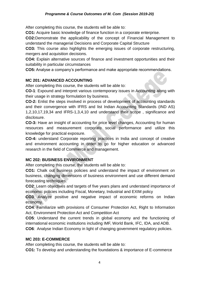After completing this course, the students will be able to:

**CO1:** Acquire basic knowledge of finance function in a corporate enterprise.

**CO2:**Demonstrate the applicability of the concept of Financial Management to understand the managerial Decisions and Corporate Capital Structure

**CO3:** This course also highlights the emerging issues of corporate restructuring, mergers and acquisition decisions.

**CO4:** Explain alternative sources of finance and investment opportunities and their suitability in particular circumstances

**CO5:** Analyse a company's performance and make appropriate recommendations.

#### **MC 201: ADVANCED ACCOUNTING**

After completing this course, the students will be able to:

**CO-1**: Expound and interpret various contemporary issues in Accounting along with their usage in strategy formulation by business.

**CO-2:** Enlist the steps involved in process of development of accounting standards and their convergence with IFRS and list Indian Accounting Standards (IND AS) 1,2,10,17,19,34 and IFRS-1,3,4,10 and understand their scope , significance and disclosure.

**CO-3:** Have an insight of accounting for price level changes, Accounting for human resources and measurement corporate social performance and utilize this knowledge for practical exposure.

**CO-4:** understand Corporate reporting practices in India and concept of creative and environment accounting in order to go for higher education or advanced research in the field of Commerce and management.

#### **MC 202: BUSINESS ENVIRONMENT**

After completing this course, the students will be able to:

**CO1:** Chalk out business policies and understand the impact of environment on business, changing dimensions of business environment and use different demand forecasting techniques.

**CO2**: Learn objectives and targets of five years plans and understand importance of economic policies including Fiscal, Monetary, Industrial and EXIM policy

**CO3**: Analyze positive and negative impact of economic reforms on Indian economy.

**CO4**: Familiarize with provisions of Consumer Protection Act, Right to Information Act, Environment Protection Act and Competition Act

**CO5**: Understand the current trends in global economy and the functioning of international economic institutions including IMF, World Bank, IFC, IDA, and ADB.

**CO6**: Analyse Indian Economy in light of changing government regulatory policies.

#### **MC 203: E-COMMERCE**

After completing this course, the students will be able to:

**CO1:** To develop and understanding the foundations & importance of E-commerce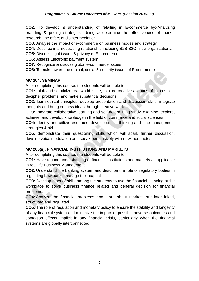**CO2:** To develop & understanding of retailing in E-commerce by:-Analyzing branding & pricing strategies, Using & determine the effectiveness of market research, the effect of disintermediation.

**CO3:** Analyse the impact of e-commerce on business modes and strategy

**CO4:** Describe internet trading relationship including B2B,B2C, intra-organizational

**CO5:** Discuss legal issues & privacy of E-commerce

**CO6:** Assess Electronic payment system

**CO7:** Recognize & discuss global e-commerce issues

**CO8:** To make aware the ethical, social & security issues of E-commerce

#### **MC 204: SEMINAR**

After completing this course, the students will be able to:

**CO1:** think and scrutinize real world issue, explore creative avenues of expression, decipher problems, and make substantial decisions.

**CO2:** learn ethical principles, develop presentation and discussion skills, integrate thoughts and bring out new ideas through creative work.

**CO3:** Integrate collaborative learning and self-determining study, examine, explore, achieve, and develop knowledge in the field of commerce and social sciences.

**CO4:** identify and utilize resources, develop critical thinking and time management strategies & skills.

**CO5:** demonstrate their questioning skills which will spark further discussion, develop voice modulation and speak persuasively with or without notes.

# **MC 205(ii): FINANCIAL INSTITUTIONS AND MARKETS**

After completing this course, the students will be able to:

**CO1:** Have a good understanding of financial institutions and markets as applicable in real life Business Management.

**CO2:** Understand the banking system and describe the role of regulatory bodies in regulating how banks manage their capital.

**CO3:** Develop a set of skills among the students to use the financial planning at the workplace to solve business finance related and general decision for financial problems.

**CO4:** Analyze the financial problems and learn about markets are inter-linked, structured and regulated**.**

**CO5:** The role of regulation and monetary policy to ensure the stability and longevity of any financial system and minimize the impact of possible adverse outcomes and contagion effects implicit in any financial crisis, particularly when the financial systems are globally interconnected.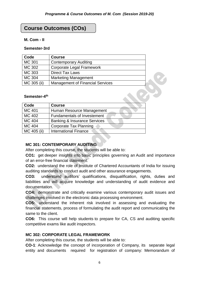# **Course Outcomes (COs)**

#### **M. Com - II**

#### **Semester-3rd**

| Code          | <b>Course</b>                           |  |
|---------------|-----------------------------------------|--|
| <b>MC 301</b> | <b>Contemporary Auditing</b>            |  |
| MC 302        | <b>Corporate Legal Framework</b>        |  |
| MC 303        | <b>Direct Tax Laws</b>                  |  |
| MC 304        | <b>Marketing Management</b>             |  |
| MC 305 (ii)   | <b>Management of Financial Services</b> |  |
|               |                                         |  |
| Semester-4th  |                                         |  |
| Cada          | $P$ $\sim$ $P$ $\sim$                   |  |

#### **Semester-4 th**

| Code          | <b>Course</b>                           |
|---------------|-----------------------------------------|
| MC 401        | Human Resource Management               |
| MC 402        | <b>Fundamentals of Investement</b>      |
| <b>MC 404</b> | <b>Banking &amp; Insurance Services</b> |
| MC 404        | Corporate Tax Planning                  |
| MC 405 (ii)   | <b>International Finance</b>            |

# **MC 301: CONTEMPORARY AUDITING**

After completing this course, the students will be able to:

**CO1:** get deeper insights into basic principles governing an Audit and importance of an error-free financial statement.

**CO2:** understand the role of Institute of Chartered Accountants of India for issuing auditing standards to conduct audit and other assurance engagements.

**CO3:** understand auditors' qualifications, disqualification, rights, duties and liabilities and will acquire knowledge and understanding of audit evidence and documentation.

**CO4:** demonstrate and critically examine various contemporary audit issues and challenges involved in the electronic data processing environment.

**CO5:** understand the inherent risk involved in assessing and evaluating the financial statements, process of formulating the audit report and communicating the same to the client.

**CO6:** This course will help students to prepare for CA, CS and auditing specific competitive exams like audit inspectors.

#### **MC 302: CORPORATE LEGAL FRAMEWORK**

After completing this course, the students will be able to:

**CO-1**: Acknowledge the concept of incorporation of Company, its separate legal entity and documents required for registration of company: Memorandum of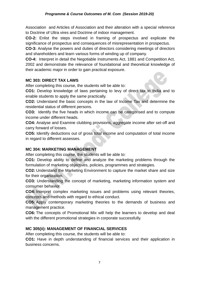Association and Articles of Association and their alteration with a special reference to Doctrine of Ultra vires and Doctrine of indoor management.

**CO-2:** Enlist the steps involved in framing of prospectus and explicate the significance of prospectus and consequences of misrepresentation in prospectus.

**CO-3:** Analyse the powers and duties of directors considering meetings of directors and shareholders and learn various forms of winding up of company.

**CO-4:** Interpret in detail the Negotiable Instruments Act, 1881 and Competition Act, 2002 and demonstrate the relevance of foundational and theoretical knowledge of their academic major in order to gain practical exposure.

#### **MC 303: DIRECT TAX LAWS**

After completing this course, the students will be able to:

**CO1:** Develop knowledge of laws pertaining to levy of direct tax in India and to enable students to apply the same practically.

**CO2:** Understand the basic concepts in the law of Income Tax and determine the residential status of different persons.

**CO3:** Identify the five heads in which income can be categorised and to compute income under different heads.

**CO4:** Analyse and Examine clubbing provisions, aggregate income after set-off and carry forward of losses.

**CO5:** Identify deductions out of gross total income and computation of total income in regard to different assesses.

# **MC 304: MARKETING MANAGEMENT**

After completing this course, the students will be able to:

**CO1:** Develop ability to define and analyze the marketing problems through the formulation of marketing objectives, policies, programmes and strategies.

**CO2:** Understand the Marketing Environment to capture the market share and size for their organization.

**CO3:** Understanding the concept of marketing, marketing information system and consumer behavior

**CO4:** Interpret complex marketing issues and problems using relevant theories, concepts and methods with regard to ethical conduct.

**CO5:** Apply contemporary marketing theories to the demands of business and management practice.

**CO6:** The concepts of Promotional Mix will help the learners to develop and deal with the different promotional strategies in corporate successfully.

# **MC 305(ii): MANAGEMENT OF FINANCIAL SERVICES**

After completing this course, the students will be able to:

**CO1:** Have in depth understanding of financial services and their application in business concerns.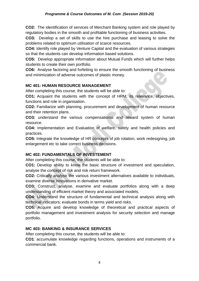**CO2:** The identification of services of Merchant Banking system and role played by regulatory bodies in the smooth and profitable functioning of business activities.

**CO3:** Develop a set of skills to use the hire purchase and leasing to solve the problems related to optimum utilisation of scarce resources.

**CO4:** Identify role played by Venture Capital and the evaluation of various strategies so that the students can develop information based solutions.

**CO5:** Develop appropriate information about Mutual Funds which will further helps students to create their own portfolio.

**CO6:** Analyse factoring and forfeiting to ensure the smooth functioning of business and minimization of adverse outcomes of plastic money.

# **MC 401: HUMAN RESOURCE MANAGEMENT**

After completing this course, the students will be able to:

**CO1:** Acquaint the students with the concept of HRM, its relevance, objectives, functions and role in organisation.

**CO2:** Familiarize with planning, procurement and development of human resource and their retention plans.

**CO3:** understand the various compensational and reward system of human resource.

**CO4:** Implementation and Evaluation of welfare, safety and health policies and practices.

**CO5:** Integrate the knowledge of HR concepts of job rotation, work redesigning, job enlargement etc to take correct business decisions.

# **MC 402: FUNDAMENTALS OF INVESTEMENT**

After completing this course, the students will be able to:

**CO1:** Develop ability to know the basic structure of investment and speculation, analyse the concept of risk and risk return framework.

**CO2:** Critically analyse the various investment alternatives available to individuals, examine diverse innovations in derivative market.

**CO3:** Construct, analyse, examine and evaluate portfolios along with a deep understanding of efficient market theory and associated models.

**CO4:** Understand the structure of fundamental and technical analysis along with technical indicators; evaluate bonds in terms yield and risks.

**CO5:** Acquire and develop knowledge of theoretical and practical aspects of portfolio management and investment analysis for security selection and manage portfolio.

#### **MC 403: BANKING & INSURANCE SERVICES**

After completing this course, the students will be able to:

**CO1**: accumulate knowledge regarding functions, operations and instruments of a commercial bank.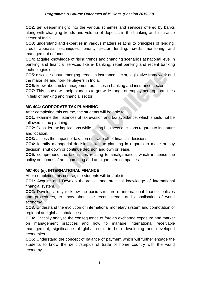#### *Programme & Course Outcomes of M. Com (Session 2019-20)*

**CO2:** get deeper insight into the various schemes and services offered by banks along with changing trends and volume of deposits in the banking and insurance sector of India.

**CO3:** understand and expertise in various matters relating to principles of lending, credit appraisal techniques, priority sector lending, credit monitoring and management of funds.

**CO4:** acquire knowledge of rising trends and changing scenarios at national level in banking and financial services like e- banking, retail banking and recent banking technologies etc.

**CO5**: discover about emerging trends in insurance sector, legislative framework and the major life and non-life players in India.

**CO6:** know about risk management practices in banking and insurance sector.

**CO7:** This course will help students to get wide range of employment opportunities in field of banking and financial sector

#### **MC 404: CORPORATE TAX PLANNING**

After completing this course, the students will be able to:

**CO1:** examine the instances of tax evasion and tax avoidance, which should not be followed in tax planning.

**CO2:** Consider tax implications while taking business decisions regards to its nature and location.

**CO3:** assess the impact of taxation on trade off of financial decisions.

**CO4:** Identify managerial decisions like tax planning in regards to make or buy decision, shut down or continue decision and own or lease.

**CO5:** comprehend the tax issues relating to amalgamation, which influence the policy outcomes of amalgamating and amalgamated companies.

# **MC 406 (ii): INTERNATIONAL FINANCE**

After completing this course, the students will be able to:

**CO1:** Acquire and Develop theoretical and practical knowledge of international financial system.

**CO2:** Develop ability to know the basic structure of international finance, policies and procedures, to know about the recent trends and globalisation of world economy.

**CO3:** Understand the evolution of international monetary system and connotation of regional and global imbalances.

**CO4:** Critically analyse the consequence of foreign exchange exposure and market on management practices and how to manage international receivable management, significance of global crisis in both developing and developed economies.

**CO5:** Understand the concept of balance of payment which will further engage the students to know the deficit/surplus of trade of home country with the world economy.